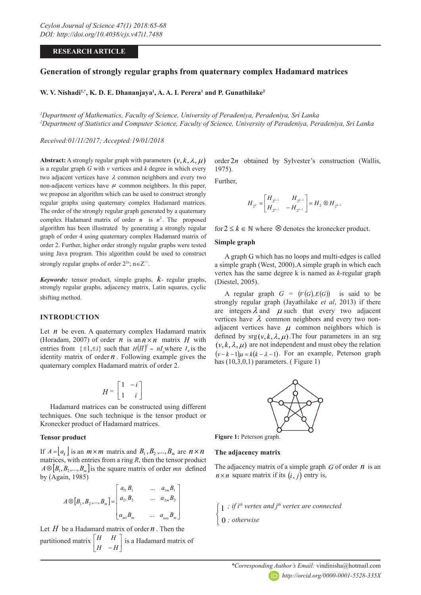# **RESEARCH ARTICLE**

# **Generation of strongly regular graphs from quaternary complex Hadamard matrices**

**W. V. Nishadi<sup>1,\*</sup>, K. D. E. Dhananjaya<sup>1</sup>, A. A. I. Perera<sup>1</sup> and P. Gunathilake<sup>2</sup>** 

*1 Department of Mathematics, Faculty of Science, University of Peradeniya, Peradeniya, Sri Lanka 2 Department of Statistics and Computer Science, Faculty of Science, University of Peradeniya, Peradeniya, Sri Lanka*

*Received:01/11/2017; Accepted:19/01/2018*

**Abstract:** A strongly regular graph with parameters  $(v, k, \lambda, \mu)$ is a regular graph *G* with *v* vertices and *k* degree in which every two adjacent vertices have  $\lambda$  common neighbors and every two non-adjacent vertices have  $\mu$  common neighbors. In this paper, we propose an algorithm which can be used to construct strongly regular graphs using quaternary complex Hadamard matrices. The order of the strongly regular graph generated by a quaternary complex Hadamard matrix of order  $n$  is  $n^2$ . The proposed algorithm has been illustrated by generating a strongly regular graph of order 4 using quaternary complex Hadamard matrix of order 2. Further, higher order strongly regular graphs were tested using Java program. This algorithm could be used to construct strongly regular graphs of order  $2^{2n}$ ; n∈Z<sup> $\sim$ +</sup>.

*Keywords:* tensor product, simple graphs, *k*- regular graphs, strongly regular graphs, adjacency matrix, Latin squares, cyclic shifting method.

#### **INTRODUCTION**

Let  $n$  be even. A quaternary complex Hadamard matrix (Horadam, 2007) of order *n* is an  $n \times n$  matrix *H* with entries from  $\{\pm 1, \pm i\}$  such that  $H(\overline{H})^T = nI_n$  where  $I_n$  is the identity matrix of order  $n$ . Following example gives the quaternary complex Hadamard matrix of order 2.

$$
H = \begin{bmatrix} 1 & -i \\ 1 & i \end{bmatrix}
$$

Hadamard matrices can be constructed using different techniques. One such technique is the tensor product or Kronecker product of Hadamard matrices.

#### **Tensor product**

If  $A = |a_i|$  is an  $m \times m$  matrix and  $B_1, B_2, ..., B_m$  are  $n \times n$ matrices, with entries from a ring *R*, then the tensor product  $A \otimes [B_1, B_2, ..., B_m]$  is the square matrix of order *mn* defined by (Again, 1985)

$$
A \otimes [B_1, B_2, ..., B_m] = \begin{bmatrix} a_{11} B_1 & \dots & a_{1m} B_1 \\ a_{21} B_2 & \dots & a_{2m} B_2 \\ \vdots & \vdots & \ddots & \vdots \\ a_{m1} B_m & \dots & a_{mn} B_m \end{bmatrix}
$$

Let  $H$  be a Hadamard matrix of order  $n$ . Then the partitioned matrix  $\begin{bmatrix} H & H \\ H & H \end{bmatrix}$  *H* − *H*  $H$ *H*  $\parallel$  is a Hadamard matrix of order  $2n$  obtained by Sylvester's construction (Wallis, 1975).

Further,

$$
H_{2^k} = \begin{bmatrix} H_{2^{k-1}} & H_{2^{k-1}} \\ H_{2^{k-1}} & -H_{2^{k-1}} \end{bmatrix} = H_2 \otimes H_{2^{k-1}}
$$

for  $2 \leq k \in \mathbb{N}$  where  $\otimes$  denotes the kronecker product.

#### **Simple graph**

*H*

A graph G which has no loops and multi-edges is called a simple graph (West, 2000).A simple graph in which each vertex has the same degree k is named as *k*-regular graph (Diestel, 2005).

A regular graph  $G = (V(G), E(G))$  is said to be strongly regular graph (Jayathilake *et al*, 2013) if there are integers  $\lambda$  and  $\mu$  such that every two adjacent vertices have  $\lambda$  common neighbors and every two nonadjacent vertices have  $\mu$  common neighbors which is defined by  $\text{srg}(v, k, \lambda, \mu)$ . The four parameters in an srg  $(v, k, \lambda, \mu)$  are not independent and must obey the relation  $(v - k - 1)\mu = k(k - \lambda - 1)$ . For an example, Peterson graph has  $(10,3,0,1)$  parameters. (Figure 1)



**Figure 1:** Peterson graph.

#### **The adjacency matrix**

The adjacency matrix of a simple graph *G* of order *n* is an  $n \times n$  square matrix if its  $(i, j)$  entry is,

 $\overline{\mathcal{L}}$ ₹  $\int$ *otherwise if*  $i^{th}$  vertex and  $j^{th}$  vertex are connected  $0:$ 1 ; *; if ith vertex and jth vertex are connected*  $\begin{array}{c} \n\text{m}^m \text{m} \text{m} \end{array}$  1 0 ; otherwise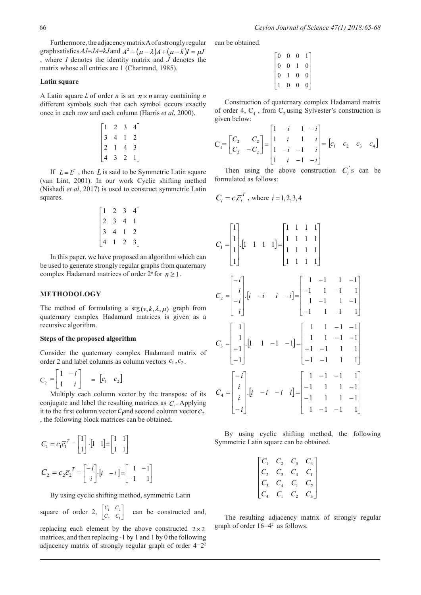Furthermore, the adjacency matrix A of a strongly regular graph satisfies  $AJ=JA=kJ$  and  $A^2 + (\mu - \lambda)A + (\mu - k)I = \mu J$ , where *I* denotes the identity matrix and *J* denotes the matrix whose all entries are 1 (Chartrand, 1985).

## **Latin square**

A Latin square *L* of order *n* is an  $n \times n$  array containing *n* different symbols such that each symbol occurs exactly once in each row and each column (Harris *et al*, 2000).

$$
\begin{bmatrix} 1 & 2 & 3 & 4 \ 3 & 4 & 1 & 2 \ 2 & 1 & 4 & 3 \ 4 & 3 & 2 & 1 \end{bmatrix}
$$

If  $L = L^T$ , then *L* is said to be Symmetric Latin square (van Lint, 2001). In our work Cyclic shifting method (Nishadi *et al*, 2017) is used to construct symmetric Latin squares.

$$
\begin{bmatrix} 1 & 2 & 3 & 4 \ 2 & 3 & 4 & 1 \ 3 & 4 & 1 & 2 \ 4 & 1 & 2 & 3 \end{bmatrix}
$$

In this paper, we have proposed an algorithm which can be used to generate strongly regular graphs from quaternary complex Hadamard matrices of order  $2^n$  for  $n \ge 1$ .

## **METHODOLOGY**

The method of formulating a  $\text{srg}(v, k, \lambda, \mu)$  graph from quaternary complex Hadamard matrices is given as a recursive algorithm.

## **Steps of the proposed algorithm**

Consider the quaternary complex Hadamard matrix of order 2 and label columns as column vectors  $c_1$ ,  $c_2$ .

$$
C_2 = \begin{bmatrix} 1 & -i \\ 1 & i \end{bmatrix} = \begin{bmatrix} c_1 & c_2 \end{bmatrix}
$$

Multiply each column vector by the transpose of its conjugate and label the resulting matrices as  $C_i$ . Applying it to the first column vector  $c_1$  and second column vector  $c_2$ , the following block matrices can be obtained.

$$
C_1 = c_1 \overline{c_1}^T = \begin{bmatrix} 1 \\ 1 \end{bmatrix} \cdot [1 \quad 1] = \begin{bmatrix} 1 & 1 \\ 1 & 1 \end{bmatrix}
$$

$$
C_2 = c_2 \overline{c_2}^T = \begin{bmatrix} -i \\ i \end{bmatrix} \cdot [i \quad -i] = \begin{bmatrix} 1 & -1 \\ -1 & 1 \end{bmatrix}
$$

By using cyclic shifting method, symmetric Latin

square of order 2,  $\begin{bmatrix} C_1 & C_2 \\ C_2 & C_1 \end{bmatrix}$ ļ. 2  $V_1$  $\begin{bmatrix} C_1 & C_2 \\ C_2 & C_1 \end{bmatrix}$  can be constructed and, replacing each element by the above constructed  $2 \times 2$ matrices, and then replacing -1 by 1 and 1 by 0 the following adjacency matrix of strongly regular graph of order  $4=2<sup>2</sup>$ 

can be obtained.

| $\overline{0}$ | 0              | 0              | $1$ ]                                       |
|----------------|----------------|----------------|---------------------------------------------|
| $\overline{0}$ | $\overline{0}$ | $\mathbf{1}$   | $\begin{bmatrix} 0 \\ 0 \\ 0 \end{bmatrix}$ |
| $\overline{0}$ | $\mathbf 1$    | $\overline{0}$ |                                             |
|                | $\overline{0}$ | $\overline{0}$ |                                             |

Construction of quaternary complex Hadamard matrix of order 4,  $C_4$ , from  $C_2$  using Sylvester's construction is given below:

$$
C_4 = \begin{bmatrix} C_2 & C_2 \ C_2 & -C_2 \end{bmatrix} = \begin{bmatrix} 1 & -i & 1 & -i \\ 1 & i & 1 & i \\ 1 & -i & -1 & i \\ 1 & i & -1 & -i \end{bmatrix} = \begin{bmatrix} c_1 & c_2 & c_3 & c_4 \end{bmatrix}
$$

Then using the above construction  $C_i$ 's can be formulated as follows:

$$
C_i = c_i \overline{c_i}^T
$$
, where  $i = 1, 2, 3, 4$ 

$$
C_{1} = \begin{bmatrix} 1 \\ 1 \\ 1 \end{bmatrix} \cdot [1 \quad 1 \quad 1 \quad 1] = \begin{bmatrix} 1 & 1 & 1 & 1 \\ 1 & 1 & 1 & 1 \\ 1 & 1 & 1 & 1 \\ 1 & 1 & 1 & 1 \end{bmatrix}
$$
  
\n
$$
C_{2} = \begin{bmatrix} -i \\ i \\ -i \\ i \end{bmatrix} \cdot [i \quad -i \quad i \quad -i] = \begin{bmatrix} 1 & -1 & 1 & -1 \\ -1 & 1 & -1 & 1 \\ 1 & -1 & 1 & -1 \\ -1 & 1 & -1 & 1 \end{bmatrix}
$$
  
\n
$$
C_{3} = \begin{bmatrix} 1 \\ 1 \\ -1 \end{bmatrix} \cdot [1 \quad 1 \quad -1 \quad -1] = \begin{bmatrix} 1 & 1 & -1 & -1 \\ 1 & 1 & -1 & -1 \\ -1 & -1 & 1 & 1 \\ -1 & -1 & 1 & 1 \end{bmatrix}
$$
  
\n
$$
C_{4} = \begin{bmatrix} -i \\ i \\ i \\ -i \end{bmatrix} \cdot [i \quad -i \quad -i \quad i] = \begin{bmatrix} 1 & -1 & -1 & 1 \\ -1 & 1 & 1 & -1 \\ -1 & 1 & 1 & -1 \\ 1 & -1 & -1 & 1 \end{bmatrix}
$$

By using cyclic shifting method, the following Symmetric Latin square can be obtained.

| $\mid C_1 \mid$ | $C_{2}$                     | $C_{3}$ | $C_4 \mid$ |
|-----------------|-----------------------------|---------|------------|
| $C_2$           | $C_{3}$                     | $C_{4}$ | $C_1 \mid$ |
| $\subset$       | $C_{\scriptscriptstyle{A}}$ | $C_{1}$ | $C_{2}$    |
| $C_{4}$         | $C_{1}$                     | $C_{2}$ | $C_{3}$    |

The resulting adjacency matrix of strongly regular graph of order  $16=4^2$  as follows.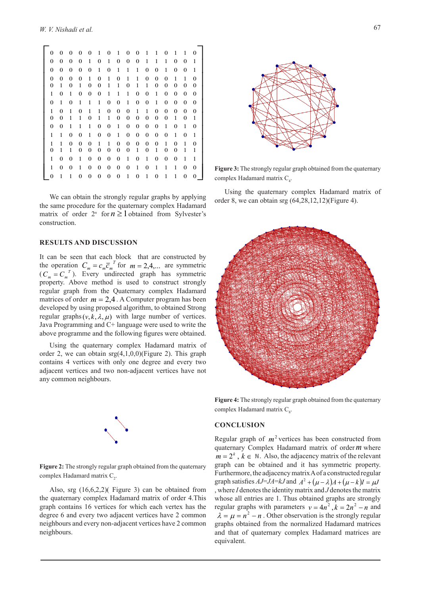$\overline{\phantom{a}}$  $\overline{\phantom{a}}$  $\overline{\phantom{a}}$  $\overline{\phantom{a}}$  $\overline{\phantom{a}}$  $\overline{\phantom{a}}$  $\overline{\phantom{a}}$  $\overline{\phantom{a}}$  $\overline{\phantom{a}}$  $\overline{\phantom{a}}$ ヿ  $\mathbf{r}$  $\overline{a}$   $\overline{a}$  $\lfloor$  $\lceil$ 1 1 0 0 1 1 0 0 1 0 0 1 0 0 0 0 1 0 1 0 0 0 1 1  $0 \quad 0$ 1 0 1 0 0 1 0 1 0 0 0 0 1 0 0 1 0 1 0 1 0 0 0 0 0 1 1 0 0 0 0 0 0 1 1 0 1 0 1 0 0 1 0 1 1 0 1 0 0 1 0 1 0 0 0 0 0 0 0 0 0 0 0 0 0 0 0 0 0 1 1 0 1 0 0 1 1 0 0 1 0 1 1 0 1 1 0 0 1 1 0 0 0 0 1 1 0 0 1 1 0 0 0 0 0 0 0 0 0 0 0 0 0 0 0 0 0 1 1 0 1 0 0 1 1 0 0 1 0 1 1 0 1 1 0 0 1 1 0 0 0 0 1 1 0 0 1 1 1 0 1 0 0 1 0 1 1 0 1 0 0 1 0 1 0 1 1 0 1 0 0 1 1 0 0 1 0 1 1 0 1 1 0 0 1 1 0 0  $0 \t 0 \t 1$ 0 0 1 1 1 0 1 0  $0<sub>1</sub>$ 1 0 1 0 0 1 0 1 0 0 0 0 0 0 0 0 0 0 0 0  $\overline{0}$ 

We can obtain the strongly regular graphs by applying the same procedure for the quaternary complex Hadamard matrix of order  $2^n$  for  $n \ge 1$  obtained from Sylvester's construction.

## **RESULTS AND DISCUSSION**

It can be seen that each block that are constructed by the operation  $C_m = c_m \overline{c}_m^T$  for  $m = 2, 4, ...$  are symmetric  $(C_m = C_m^T)$ . Every undirected graph has symmetric property." Above method is used to construct strongly regular graph from the Quaternary complex Hadamard matrices of order  $m = 2.4$ . A Computer program has been developed by using proposed algorithm, to obtained Strong regular graphs $(v, k, \lambda, \mu)$  with large number of vertices. Java Programming and C+ language were used to write the above programme and the following figures were obtained.

Using the quaternary complex Hadamard matrix of order 2, we can obtain  $\text{srg}(4,1,0,0)$ (Figure 2). This graph contains 4 vertices with only one degree and every two adjacent vertices and two non-adjacent vertices have not any common neighbours.



**Figure 2:** The strongly regular graph obtained from the quaternary complex Hadamard matrix  $C_2$ .

Also, srg (16,6,2,2)( Figure 3) can be obtained from the quaternary complex Hadamard matrix of order 4.This graph contains 16 vertices for which each vertex has the degree 6 and every two adjacent vertices have 2 common neighbours and every non-adjacent vertices have 2 common neighbours.



**Figure 3:** The strongly regular graph obtained from the quaternary complex Hadamard matrix  $C_4$ .

Using the quaternary complex Hadamard matrix of order 8, we can obtain srg  $(64, 28, 12, 12)$ (Figure 4).



**Figure 4:** The strongly regular graph obtained from the quaternary complex Hadamard matrix  $C_{8}$ .

## **CONCLUSION**

Regular graph of  $m^2$  vertices has been constructed from quaternary Complex Hadamard matrix of order *m* where  $m = 2^k$ ,  $k \in \mathbb{N}$ . Also, the adjacency matrix of the relevant graph can be obtained and it has symmetric property. Furthermore, the adjacency matrix A of a constructed regular graph satisfies  $AJ=JA=kJ$  and  $A^2 + (\mu - \lambda)A + (\mu - k)I = \mu J$ , where *I* denotes the identity matrix and *J* denotes the matrix whose all entries are 1. Thus obtained graphs are strongly regular graphs with parameters  $v = 4n^2$ ,  $k = 2n^2 - n$  and  $\lambda = \mu = n^2 - n$ . Other observation is the strongly regular graphs obtained from the normalized Hadamard matrices and that of quaternary complex Hadamard matrices are equivalent.